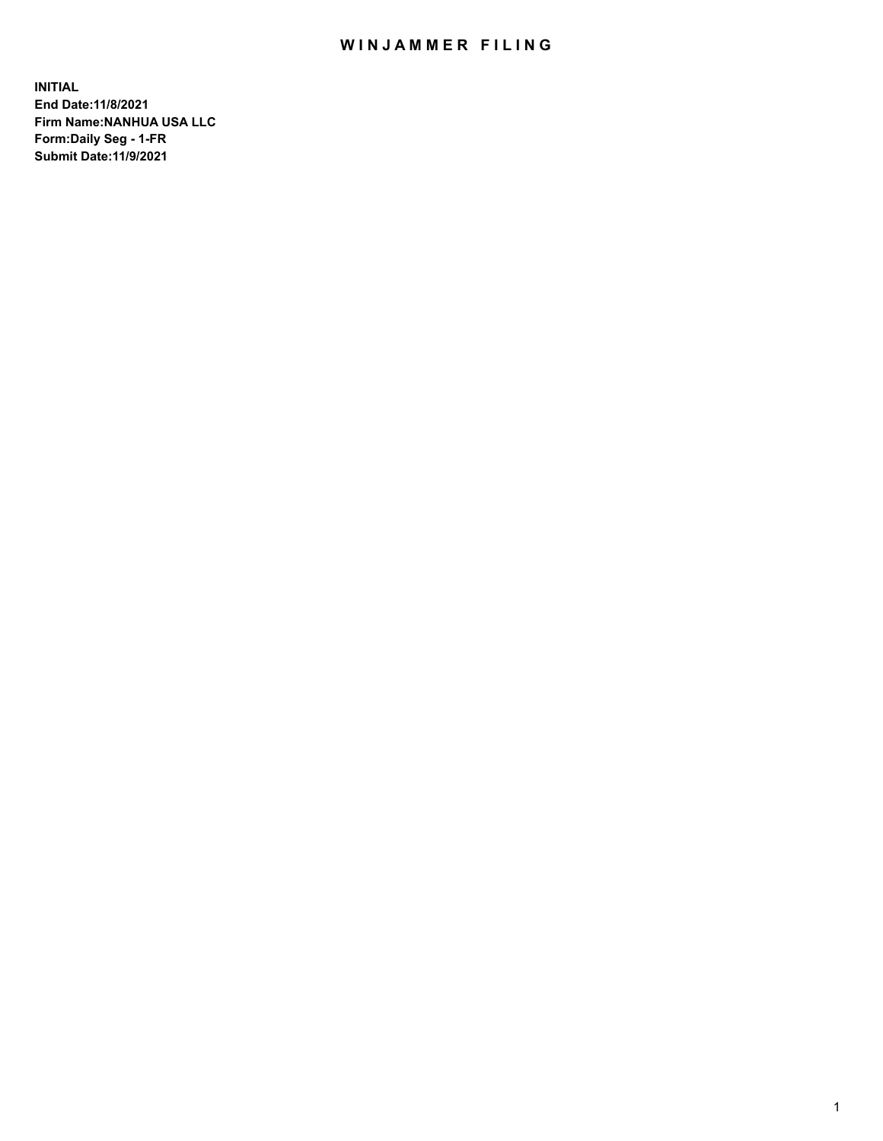## WIN JAMMER FILING

**INITIAL End Date:11/8/2021 Firm Name:NANHUA USA LLC Form:Daily Seg - 1-FR Submit Date:11/9/2021**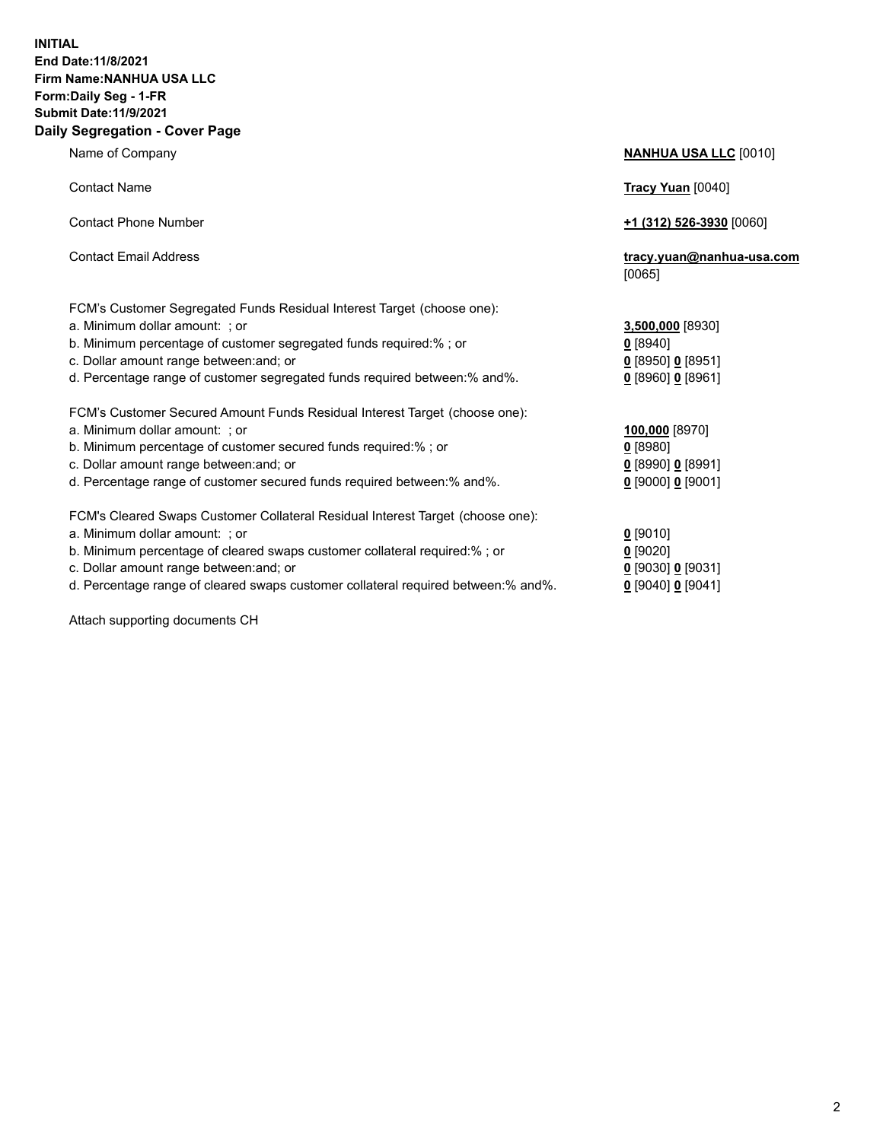## **INITIAL End Date:11/8/2021 Firm Name:NANHUA USA LLC Form:Daily Seg - 1-FR Submit Date:11/9/2021 Daily Segregation - Cover Page**

Name of Company **NANHUA USA LLC** [0010] Contact Name **Tracy Yuan** [0040] Contact Phone Number **+1 (312) 526-3930** [0060] Contact Email Address **tracy.yuan@nanhua-usa.com** [0065] FCM's Customer Segregated Funds Residual Interest Target (choose one): a. Minimum dollar amount: ; or **3,500,000** [8930] b. Minimum percentage of customer segregated funds required:% ; or **0** [8940] c. Dollar amount range between:and; or **0** [8950] **0** [8951] d. Percentage range of customer segregated funds required between:% and%. **0** [8960] **0** [8961] FCM's Customer Secured Amount Funds Residual Interest Target (choose one): a. Minimum dollar amount: ; or **100,000** [8970] b. Minimum percentage of customer secured funds required:% ; or **0** [8980] c. Dollar amount range between:and; or **0** [8990] **0** [8991] d. Percentage range of customer secured funds required between:% and%. **0** [9000] **0** [9001] FCM's Cleared Swaps Customer Collateral Residual Interest Target (choose one): a. Minimum dollar amount: ; or **0** [9010] b. Minimum percentage of cleared swaps customer collateral required:% ; or **0** [9020] c. Dollar amount range between:and; or **0** [9030] **0** [9031]

d. Percentage range of cleared swaps customer collateral required between:% and%. **0** [9040] **0** [9041]

Attach supporting documents CH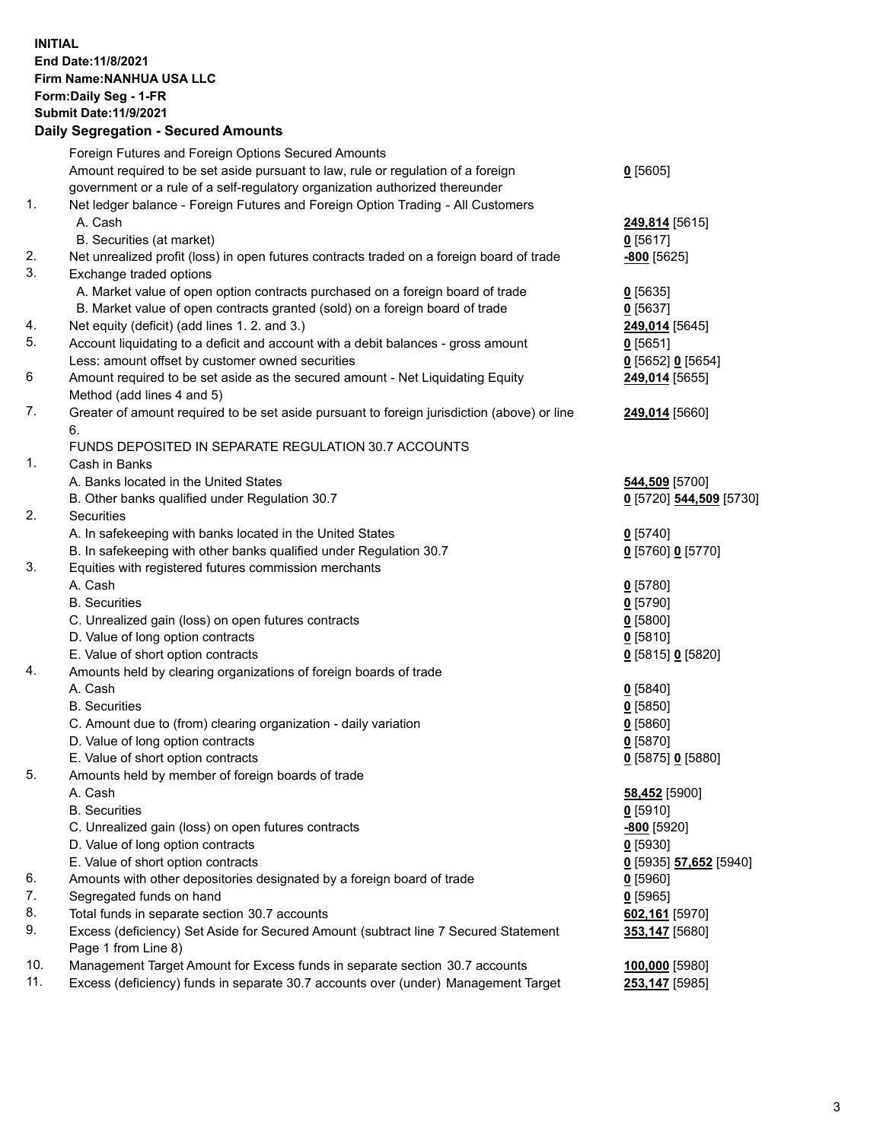## **INITIAL End Date:11/8/2021 Firm Name:NANHUA USA LLC Form:Daily Seg - 1-FR Submit Date:11/9/2021 Daily Segregation - Secured Amounts**

|     | Foreign Futures and Foreign Options Secured Amounts                                         |                         |
|-----|---------------------------------------------------------------------------------------------|-------------------------|
|     | Amount required to be set aside pursuant to law, rule or regulation of a foreign            | $0$ [5605]              |
|     | government or a rule of a self-regulatory organization authorized thereunder                |                         |
| 1.  | Net ledger balance - Foreign Futures and Foreign Option Trading - All Customers             |                         |
|     | A. Cash                                                                                     | 249,814 [5615]          |
|     | B. Securities (at market)                                                                   | $0$ [5617]              |
| 2.  | Net unrealized profit (loss) in open futures contracts traded on a foreign board of trade   | -800 <sub>[5625]</sub>  |
| 3.  | Exchange traded options                                                                     |                         |
|     | A. Market value of open option contracts purchased on a foreign board of trade              | $0$ [5635]              |
|     | B. Market value of open contracts granted (sold) on a foreign board of trade                | $0$ [5637]              |
| 4.  | Net equity (deficit) (add lines 1.2. and 3.)                                                | 249,014 [5645]          |
| 5.  | Account liquidating to a deficit and account with a debit balances - gross amount           | 0[5651]                 |
|     | Less: amount offset by customer owned securities                                            | $0$ [5652] $0$ [5654]   |
| 6   | Amount required to be set aside as the secured amount - Net Liquidating Equity              | 249,014 [5655]          |
|     | Method (add lines 4 and 5)                                                                  |                         |
| 7.  | Greater of amount required to be set aside pursuant to foreign jurisdiction (above) or line | 249,014 [5660]          |
|     | 6.                                                                                          |                         |
|     | FUNDS DEPOSITED IN SEPARATE REGULATION 30.7 ACCOUNTS                                        |                         |
| 1.  | Cash in Banks                                                                               |                         |
|     | A. Banks located in the United States                                                       | 544,509 [5700]          |
|     | B. Other banks qualified under Regulation 30.7                                              | 0 [5720] 544,509 [5730] |
| 2.  | Securities                                                                                  |                         |
|     | A. In safekeeping with banks located in the United States                                   | $0$ [5740]              |
|     | B. In safekeeping with other banks qualified under Regulation 30.7                          | 0 [5760] 0 [5770]       |
| 3.  | Equities with registered futures commission merchants                                       |                         |
|     | A. Cash                                                                                     | $0$ [5780]              |
|     | <b>B.</b> Securities                                                                        | $0$ [5790]              |
|     | C. Unrealized gain (loss) on open futures contracts                                         | $0$ [5800]              |
|     | D. Value of long option contracts                                                           | $0$ [5810]              |
|     | E. Value of short option contracts                                                          | 0 [5815] 0 [5820]       |
| 4.  | Amounts held by clearing organizations of foreign boards of trade                           |                         |
|     | A. Cash                                                                                     | $0$ [5840]              |
|     | <b>B.</b> Securities                                                                        | $0$ [5850]              |
|     | C. Amount due to (from) clearing organization - daily variation                             | $0$ [5860]              |
|     | D. Value of long option contracts                                                           | $0$ [5870]              |
|     | E. Value of short option contracts                                                          | 0 [5875] 0 [5880]       |
| 5.  | Amounts held by member of foreign boards of trade                                           |                         |
|     | A. Cash                                                                                     | 58,452 [5900]           |
|     | <b>B.</b> Securities                                                                        | $0$ [5910]              |
|     | C. Unrealized gain (loss) on open futures contracts                                         | $-800$ [5920]           |
|     | D. Value of long option contracts                                                           | $0$ [5930]              |
|     | E. Value of short option contracts                                                          | 0 [5935] 57,652 [5940]  |
| 6.  | Amounts with other depositories designated by a foreign board of trade                      | $0$ [5960]              |
| 7.  | Segregated funds on hand                                                                    | $0$ [5965]              |
| 8.  | Total funds in separate section 30.7 accounts                                               | 602,161 [5970]          |
| 9.  | Excess (deficiency) Set Aside for Secured Amount (subtract line 7 Secured Statement         | 353,147 [5680]          |
|     | Page 1 from Line 8)                                                                         |                         |
| 10. | Management Target Amount for Excess funds in separate section 30.7 accounts                 | 100,000 [5980]          |
| 11. | Excess (deficiency) funds in separate 30.7 accounts over (under) Management Target          | 253,147 [5985]          |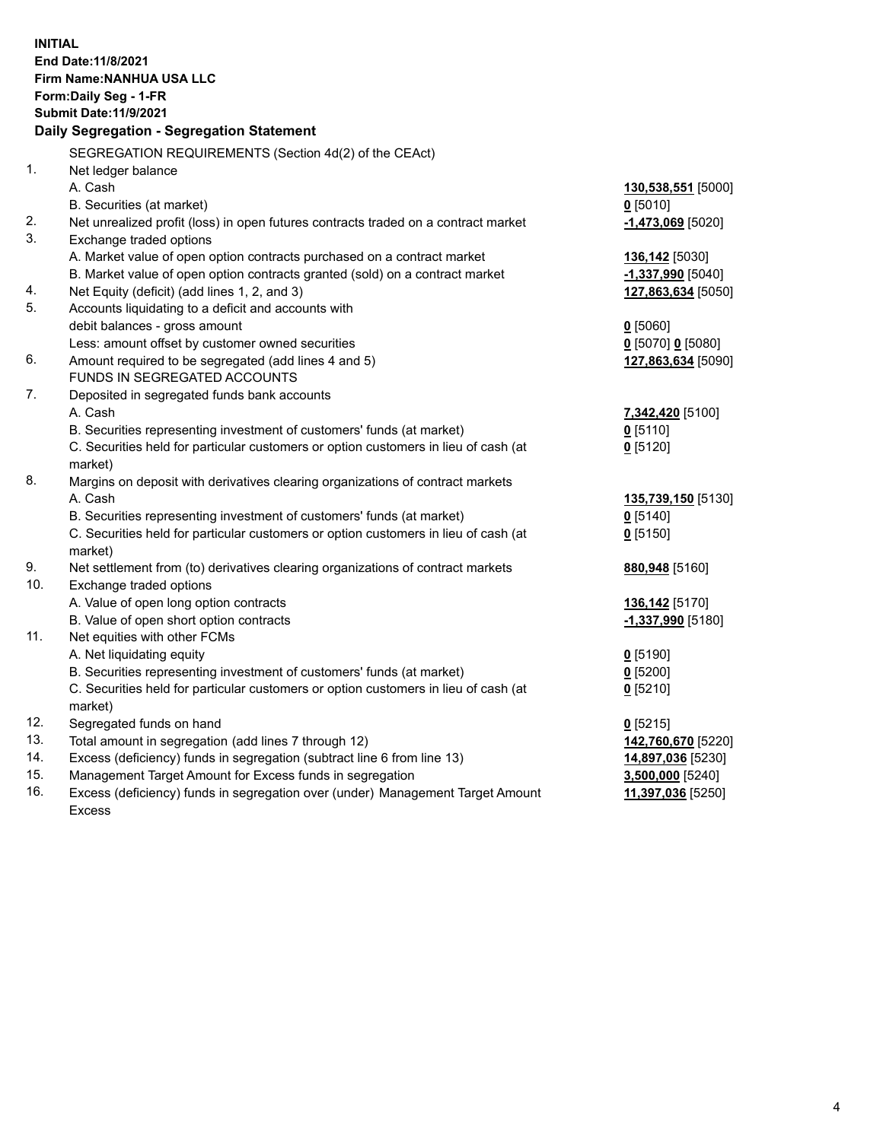| <b>INITIAL</b> | End Date: 11/8/2021<br>Firm Name: NANHUA USA LLC<br>Form: Daily Seg - 1-FR<br><b>Submit Date: 11/9/2021</b><br>Daily Segregation - Segregation Statement     |                     |
|----------------|--------------------------------------------------------------------------------------------------------------------------------------------------------------|---------------------|
|                | SEGREGATION REQUIREMENTS (Section 4d(2) of the CEAct)                                                                                                        |                     |
| 1.             | Net ledger balance                                                                                                                                           |                     |
|                | A. Cash                                                                                                                                                      | 130,538,551 [5000]  |
|                | B. Securities (at market)                                                                                                                                    | $0$ [5010]          |
| 2.             | Net unrealized profit (loss) in open futures contracts traded on a contract market                                                                           | $-1,473,069$ [5020] |
| 3.             | Exchange traded options                                                                                                                                      |                     |
|                | A. Market value of open option contracts purchased on a contract market                                                                                      | 136,142 [5030]      |
|                | B. Market value of open option contracts granted (sold) on a contract market                                                                                 | $-1,337,990$ [5040] |
| 4.             | Net Equity (deficit) (add lines 1, 2, and 3)                                                                                                                 | 127,863,634 [5050]  |
| 5.             | Accounts liquidating to a deficit and accounts with                                                                                                          |                     |
|                | debit balances - gross amount                                                                                                                                | $0$ [5060]          |
|                | Less: amount offset by customer owned securities                                                                                                             | 0 [5070] 0 [5080]   |
| 6.             | Amount required to be segregated (add lines 4 and 5)                                                                                                         | 127,863,634 [5090]  |
|                | FUNDS IN SEGREGATED ACCOUNTS                                                                                                                                 |                     |
| 7.             | Deposited in segregated funds bank accounts<br>A. Cash                                                                                                       |                     |
|                |                                                                                                                                                              | 7,342,420 [5100]    |
|                | B. Securities representing investment of customers' funds (at market)<br>C. Securities held for particular customers or option customers in lieu of cash (at | $0$ [5110]          |
|                | market)                                                                                                                                                      | $Q$ [5120]          |
| 8.             | Margins on deposit with derivatives clearing organizations of contract markets                                                                               |                     |
|                | A. Cash                                                                                                                                                      | 135,739,150 [5130]  |
|                | B. Securities representing investment of customers' funds (at market)                                                                                        | $Q$ [5140]          |
|                | C. Securities held for particular customers or option customers in lieu of cash (at                                                                          | $0$ [5150]          |
|                | market)                                                                                                                                                      |                     |
| 9.             | Net settlement from (to) derivatives clearing organizations of contract markets                                                                              | 880,948 [5160]      |
| 10.            | Exchange traded options                                                                                                                                      |                     |
|                | A. Value of open long option contracts                                                                                                                       | 136,142 [5170]      |
|                | B. Value of open short option contracts                                                                                                                      | -1,337,990 [5180]   |
| 11.            | Net equities with other FCMs                                                                                                                                 |                     |
|                | A. Net liquidating equity                                                                                                                                    | $0$ [5190]          |
|                | B. Securities representing investment of customers' funds (at market)                                                                                        | $0$ [5200]          |
|                | C. Securities held for particular customers or option customers in lieu of cash (at                                                                          | $0$ [5210]          |
|                | market)                                                                                                                                                      |                     |
| 12.            | Segregated funds on hand                                                                                                                                     | $0$ [5215]          |
| 13.            | Total amount in segregation (add lines 7 through 12)                                                                                                         | 142,760,670 [5220]  |
| 14.            | Excess (deficiency) funds in segregation (subtract line 6 from line 13)                                                                                      | 14,897,036 [5230]   |
| 15.            | Management Target Amount for Excess funds in segregation                                                                                                     | 3,500,000 [5240]    |
| 16.            | Excess (deficiency) funds in segregation over (under) Management Target Amount                                                                               | 11,397,036 [5250]   |
|                | <b>Excess</b>                                                                                                                                                |                     |